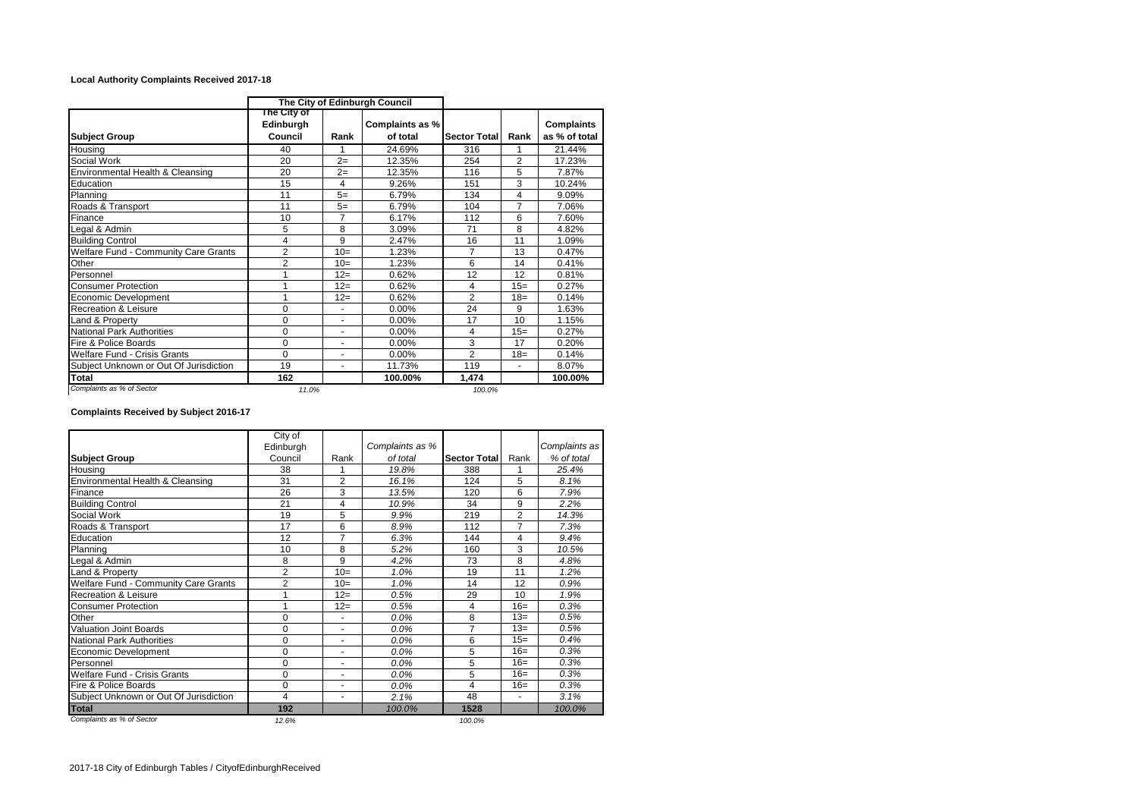## **Local Authority Complaints Received 2017-18**

|                                             | The City of Edinburgh Council       |                |                             |                |                |                                    |
|---------------------------------------------|-------------------------------------|----------------|-----------------------------|----------------|----------------|------------------------------------|
| <b>Subject Group</b>                        | The City of<br>Edinburgh<br>Council | Rank           | Complaints as %<br>of total | Sector Total   | Rank           | <b>Complaints</b><br>as % of total |
| Housing                                     | 40                                  | 1              | 24.69%                      | 316            | 1              | 21.44%                             |
| Social Work                                 | 20                                  | $2=$           | 12.35%                      | 254            | $\overline{2}$ | 17.23%                             |
| Environmental Health & Cleansing            | 20                                  | $2=$           | 12.35%                      | 116            | 5              | 7.87%                              |
| Education                                   | 15                                  | 4              | 9.26%                       | 151            | 3              | 10.24%                             |
| Planning                                    | 11                                  | $5=$           | 6.79%                       | 134            | 4              | 9.09%                              |
| Roads & Transport                           | 11                                  | $5=$           | 6.79%                       | 104            | $\overline{7}$ | 7.06%                              |
| Finance                                     | 10                                  | $\overline{7}$ | 6.17%                       | 112            | 6              | 7.60%                              |
| Legal & Admin                               | 5                                   | 8              | 3.09%                       | 71             | 8              | 4.82%                              |
| <b>Building Control</b>                     | 4                                   | 9              | 2.47%                       | 16             | 11             | 1.09%                              |
| <b>Welfare Fund - Community Care Grants</b> | $\overline{2}$                      | $10=$          | 1.23%                       | 7              | 13             | 0.47%                              |
| Other                                       | $\overline{2}$                      | $10=$          | 1.23%                       | 6              | 14             | 0.41%                              |
| Personnel                                   |                                     | $12=$          | 0.62%                       | 12             | 12             | 0.81%                              |
| <b>Consumer Protection</b>                  |                                     | $12=$          | 0.62%                       | 4              | $15=$          | 0.27%                              |
| Economic Development                        | 1                                   | $12=$          | 0.62%                       | $\overline{2}$ | $18=$          | 0.14%                              |
| Recreation & Leisure                        | 0                                   |                | 0.00%                       | 24             | 9              | 1.63%                              |
| Land & Property                             | 0                                   |                | 0.00%                       | 17             | 10             | 1.15%                              |
| National Park Authorities                   | $\mathbf 0$                         |                | 0.00%                       | 4              | $15=$          | 0.27%                              |
| Fire & Police Boards                        | 0                                   |                | $0.00\%$                    | 3              | 17             | 0.20%                              |
| <b>Welfare Fund - Crisis Grants</b>         | 0                                   | ۰              | 0.00%                       | $\overline{2}$ | $18 =$         | 0.14%                              |
| Subject Unknown or Out Of Jurisdiction      | 19                                  | ٠              | 11.73%                      | 119            | ٠              | 8.07%                              |
| <b>Total</b>                                | 162                                 |                | 100.00%                     | 1.474          |                | 100.00%                            |
| Complaints as % of Sector                   | 11.0%                               |                |                             | 100.0%         |                |                                    |

## **Complaints Received by Subject 2016-17**

|                                        | City of        |                |                 |                     |                |               |
|----------------------------------------|----------------|----------------|-----------------|---------------------|----------------|---------------|
|                                        | Edinburgh      |                | Complaints as % |                     |                | Complaints as |
| <b>Subject Group</b>                   | Council        | Rank           | of total        | <b>Sector Total</b> | Rank           | % of total    |
| Housing                                | 38             | 1              | 388<br>19.8%    |                     |                | 25.4%         |
| Environmental Health & Cleansing       | 31             | $\overline{2}$ | 16.1%           | 124                 | 5              | 8.1%          |
| Finance                                | 26             | 3              | 13.5%           | 120                 | 6              | 7.9%          |
| <b>Building Control</b>                | 21             | 4              | 10.9%           | 34                  | 9              | 2.2%          |
| Social Work                            | 19             | 5              | 9.9%            | 219                 | $\overline{2}$ | 14.3%         |
| Roads & Transport                      | 17             | 6              | 8.9%            | 112                 | $\overline{7}$ | 7.3%          |
| Education                              | 12             | 7              | 6.3%            | 144                 | 4              | 9.4%          |
| Planning                               | 10             | 8              | 5.2%            | 160                 | 3              | 10.5%         |
| Legal & Admin                          | 8              | 9              | 4.2%            | 73                  | 8              | 4.8%          |
| and & Property                         | $\overline{2}$ | $10=$          | 1.0%            | 19                  | 11             | 1.2%          |
| Welfare Fund - Community Care Grants   | $\overline{2}$ | $10=$          | 1.0%            | 14                  | 12             | 0.9%          |
| <b>Recreation &amp; Leisure</b>        | 1              | $12=$          | 0.5%            | 29                  | 10             | 1.9%          |
| <b>Consumer Protection</b>             | 1              | $12=$          | 0.5%            | 4                   | $16=$          | 0.3%          |
| Other                                  | $\mathbf 0$    | ٠              | 0.0%            | 8                   | $13=$          | 0.5%          |
| <b>Valuation Joint Boards</b>          | $\Omega$       | ٠              | 0.0%            | 7                   | $13=$          | 0.5%          |
| <b>National Park Authorities</b>       | $\mathbf 0$    | ٠              | 0.0%            | 6                   | $15=$          | 0.4%          |
| Economic Development                   | $\Omega$       | ٠              | 0.0%            | 5                   | $16=$          | 0.3%          |
| Personnel                              | $\mathbf 0$    |                | 0.0%            | 5                   | $16=$          | 0.3%          |
| <b>Welfare Fund - Crisis Grants</b>    | $\mathbf 0$    | ٠              | 0.0%            | 5                   | $16=$          | 0.3%          |
| Fire & Police Boards                   | $\Omega$       | ٠              | 0.0%            | 4                   | $16=$          | 0.3%          |
| Subject Unknown or Out Of Jurisdiction | 4              | ٠              | 2.1%            | 48                  | ٠              | 3.1%          |
| <b>Total</b>                           | 192            |                | 100.0%          | 1528                |                | 100.0%        |
| Complaints as % of Sector              | 12.6%          |                |                 | 100.0%              |                |               |